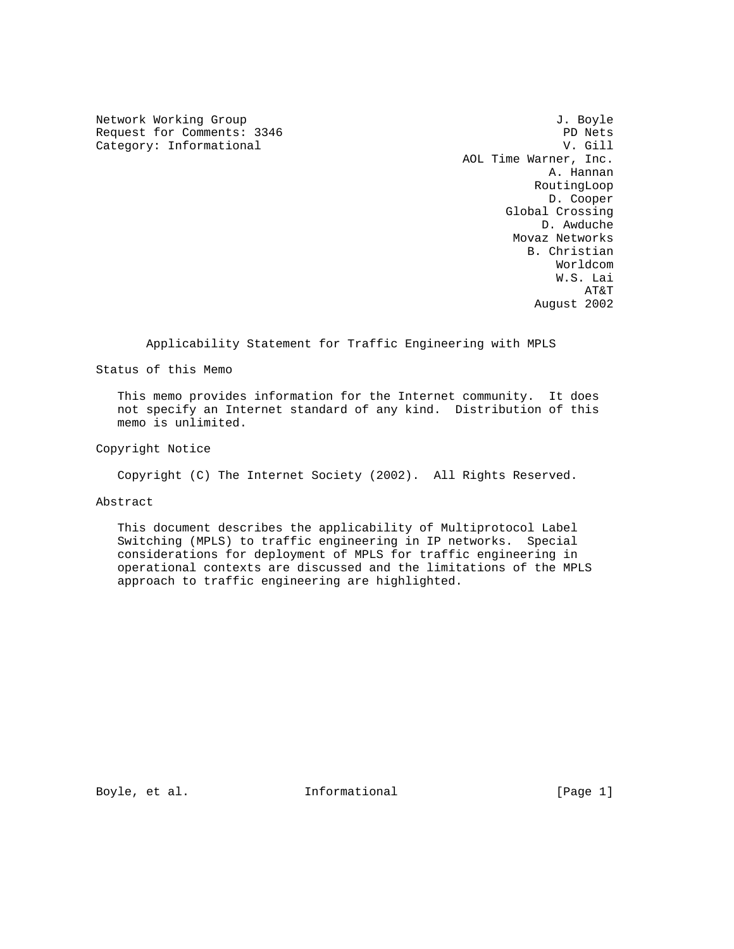Network Working Group 3. The Second Second Second Second Second Second Second Second Second Second Second Second Second Second Second Second Second Second Second Second Second Second Second Second Second Second Second Seco Request for Comments: 3346 PD Nets<br>
Category: Informational PD Nets<br>
V. Gill Category: Informational

 AOL Time Warner, Inc. A. Hannan RoutingLoop D. Cooper Global Crossing D. Awduche Movaz Networks B. Christian Worldcom W.S. Lai AT&T August 2002

Applicability Statement for Traffic Engineering with MPLS

Status of this Memo

 This memo provides information for the Internet community. It does not specify an Internet standard of any kind. Distribution of this memo is unlimited.

Copyright Notice

Copyright (C) The Internet Society (2002). All Rights Reserved.

Abstract

 This document describes the applicability of Multiprotocol Label Switching (MPLS) to traffic engineering in IP networks. Special considerations for deployment of MPLS for traffic engineering in operational contexts are discussed and the limitations of the MPLS approach to traffic engineering are highlighted.

Boyle, et al. 1nformational 1999 [Page 1]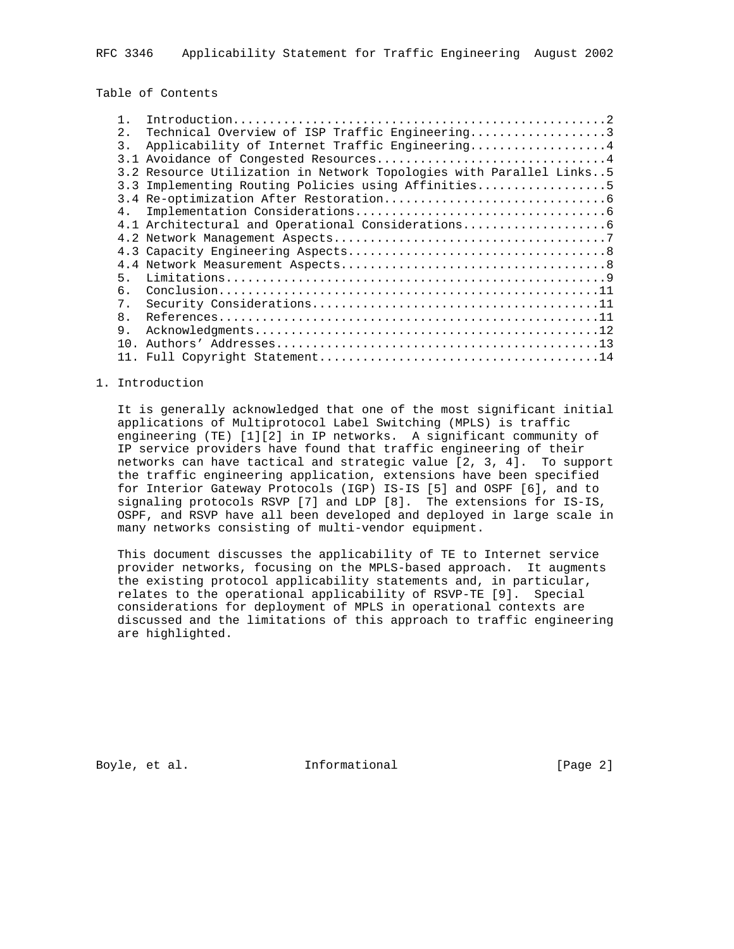Table of Contents

| 2.             | Technical Overview of ISP Traffic Engineering3                      |
|----------------|---------------------------------------------------------------------|
| 3.             | Applicability of Internet Traffic Engineering4                      |
|                |                                                                     |
|                | 3.2 Resource Utilization in Network Topologies with Parallel Links5 |
|                | 3.3 Implementing Routing Policies using Affinities5                 |
|                |                                                                     |
| 4 <sub>1</sub> |                                                                     |
|                | 4.1 Architectural and Operational Considerations                    |
|                |                                                                     |
|                |                                                                     |
|                |                                                                     |
| 5.             |                                                                     |
| б.             |                                                                     |
| $7$ .          |                                                                     |
| 8 <sub>1</sub> |                                                                     |
| 9.             |                                                                     |
| 1 N            |                                                                     |
|                |                                                                     |

## 1. Introduction

 It is generally acknowledged that one of the most significant initial applications of Multiprotocol Label Switching (MPLS) is traffic engineering (TE) [1][2] in IP networks. A significant community of IP service providers have found that traffic engineering of their networks can have tactical and strategic value [2, 3, 4]. To support the traffic engineering application, extensions have been specified for Interior Gateway Protocols (IGP) IS-IS [5] and OSPF [6], and to signaling protocols RSVP [7] and LDP [8]. The extensions for IS-IS, OSPF, and RSVP have all been developed and deployed in large scale in many networks consisting of multi-vendor equipment.

 This document discusses the applicability of TE to Internet service provider networks, focusing on the MPLS-based approach. It augments the existing protocol applicability statements and, in particular, relates to the operational applicability of RSVP-TE [9]. Special considerations for deployment of MPLS in operational contexts are discussed and the limitations of this approach to traffic engineering are highlighted.

Boyle, et al. **Informational** [Page 2]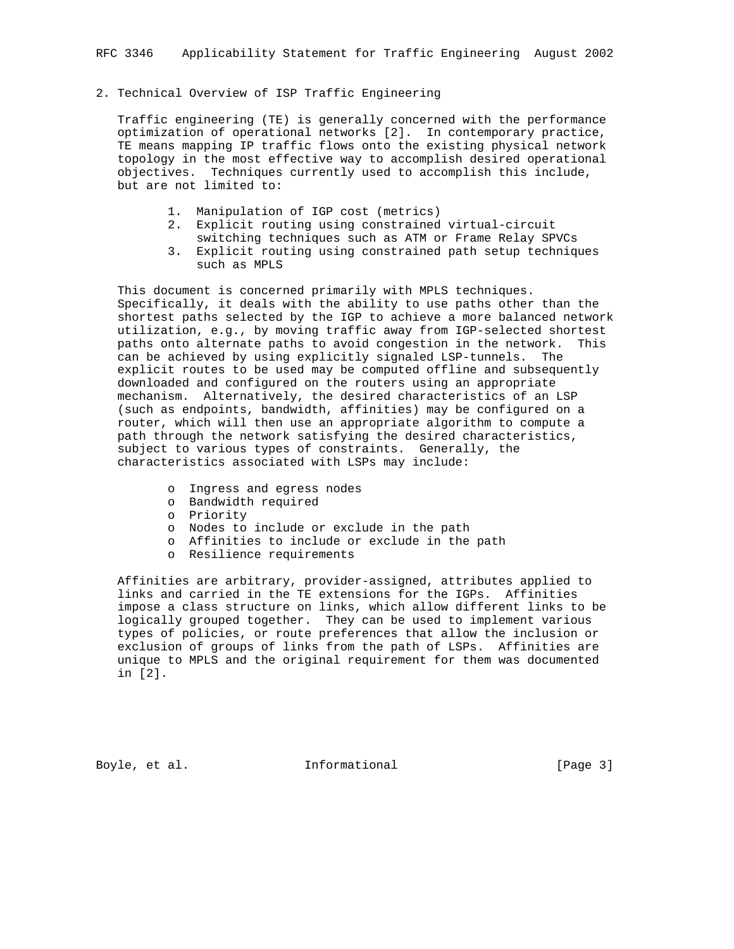# 2. Technical Overview of ISP Traffic Engineering

 Traffic engineering (TE) is generally concerned with the performance optimization of operational networks [2]. In contemporary practice, TE means mapping IP traffic flows onto the existing physical network topology in the most effective way to accomplish desired operational objectives. Techniques currently used to accomplish this include, but are not limited to:

- 1. Manipulation of IGP cost (metrics)
- 2. Explicit routing using constrained virtual-circuit
- switching techniques such as ATM or Frame Relay SPVCs
- 3. Explicit routing using constrained path setup techniques such as MPLS

 This document is concerned primarily with MPLS techniques. Specifically, it deals with the ability to use paths other than the shortest paths selected by the IGP to achieve a more balanced network utilization, e.g., by moving traffic away from IGP-selected shortest paths onto alternate paths to avoid congestion in the network. This can be achieved by using explicitly signaled LSP-tunnels. The explicit routes to be used may be computed offline and subsequently downloaded and configured on the routers using an appropriate mechanism. Alternatively, the desired characteristics of an LSP (such as endpoints, bandwidth, affinities) may be configured on a router, which will then use an appropriate algorithm to compute a path through the network satisfying the desired characteristics, subject to various types of constraints. Generally, the characteristics associated with LSPs may include:

- o Ingress and egress nodes
- o Bandwidth required
- o Priority
- o Nodes to include or exclude in the path
- o Affinities to include or exclude in the path
- o Resilience requirements

 Affinities are arbitrary, provider-assigned, attributes applied to links and carried in the TE extensions for the IGPs. Affinities impose a class structure on links, which allow different links to be logically grouped together. They can be used to implement various types of policies, or route preferences that allow the inclusion or exclusion of groups of links from the path of LSPs. Affinities are unique to MPLS and the original requirement for them was documented in [2].

Boyle, et al. **Informational** [Page 3]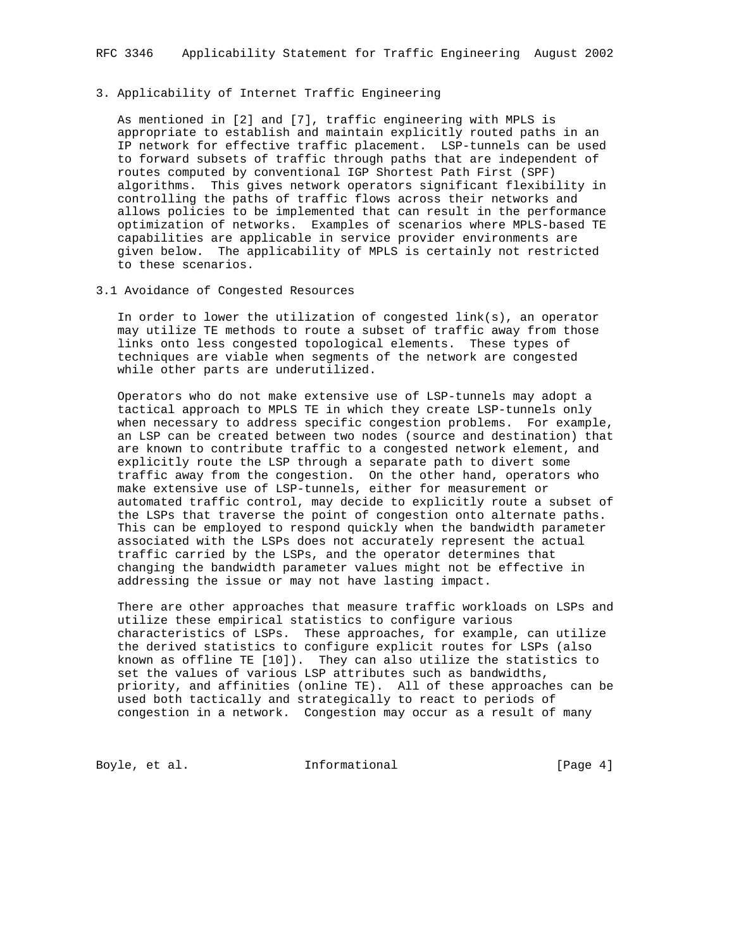# 3. Applicability of Internet Traffic Engineering

 As mentioned in [2] and [7], traffic engineering with MPLS is appropriate to establish and maintain explicitly routed paths in an IP network for effective traffic placement. LSP-tunnels can be used to forward subsets of traffic through paths that are independent of routes computed by conventional IGP Shortest Path First (SPF) algorithms. This gives network operators significant flexibility in controlling the paths of traffic flows across their networks and allows policies to be implemented that can result in the performance optimization of networks. Examples of scenarios where MPLS-based TE capabilities are applicable in service provider environments are given below. The applicability of MPLS is certainly not restricted to these scenarios.

3.1 Avoidance of Congested Resources

 In order to lower the utilization of congested link(s), an operator may utilize TE methods to route a subset of traffic away from those links onto less congested topological elements. These types of techniques are viable when segments of the network are congested while other parts are underutilized.

 Operators who do not make extensive use of LSP-tunnels may adopt a tactical approach to MPLS TE in which they create LSP-tunnels only when necessary to address specific congestion problems. For example, an LSP can be created between two nodes (source and destination) that are known to contribute traffic to a congested network element, and explicitly route the LSP through a separate path to divert some traffic away from the congestion. On the other hand, operators who make extensive use of LSP-tunnels, either for measurement or automated traffic control, may decide to explicitly route a subset of the LSPs that traverse the point of congestion onto alternate paths. This can be employed to respond quickly when the bandwidth parameter associated with the LSPs does not accurately represent the actual traffic carried by the LSPs, and the operator determines that changing the bandwidth parameter values might not be effective in addressing the issue or may not have lasting impact.

 There are other approaches that measure traffic workloads on LSPs and utilize these empirical statistics to configure various characteristics of LSPs. These approaches, for example, can utilize the derived statistics to configure explicit routes for LSPs (also known as offline TE [10]). They can also utilize the statistics to set the values of various LSP attributes such as bandwidths, priority, and affinities (online TE). All of these approaches can be used both tactically and strategically to react to periods of congestion in a network. Congestion may occur as a result of many

Boyle, et al. 1nformational 1999 [Page 4]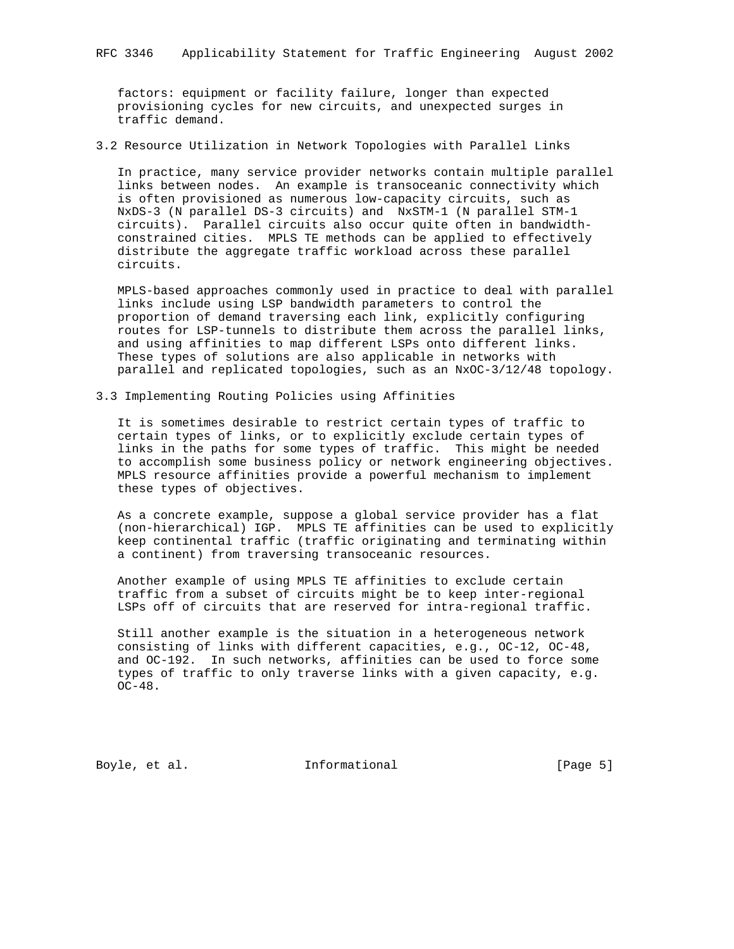factors: equipment or facility failure, longer than expected provisioning cycles for new circuits, and unexpected surges in traffic demand.

3.2 Resource Utilization in Network Topologies with Parallel Links

 In practice, many service provider networks contain multiple parallel links between nodes. An example is transoceanic connectivity which is often provisioned as numerous low-capacity circuits, such as NxDS-3 (N parallel DS-3 circuits) and NxSTM-1 (N parallel STM-1 circuits). Parallel circuits also occur quite often in bandwidth constrained cities. MPLS TE methods can be applied to effectively distribute the aggregate traffic workload across these parallel circuits.

 MPLS-based approaches commonly used in practice to deal with parallel links include using LSP bandwidth parameters to control the proportion of demand traversing each link, explicitly configuring routes for LSP-tunnels to distribute them across the parallel links, and using affinities to map different LSPs onto different links. These types of solutions are also applicable in networks with parallel and replicated topologies, such as an NxOC-3/12/48 topology.

3.3 Implementing Routing Policies using Affinities

 It is sometimes desirable to restrict certain types of traffic to certain types of links, or to explicitly exclude certain types of links in the paths for some types of traffic. This might be needed to accomplish some business policy or network engineering objectives. MPLS resource affinities provide a powerful mechanism to implement these types of objectives.

 As a concrete example, suppose a global service provider has a flat (non-hierarchical) IGP. MPLS TE affinities can be used to explicitly keep continental traffic (traffic originating and terminating within a continent) from traversing transoceanic resources.

 Another example of using MPLS TE affinities to exclude certain traffic from a subset of circuits might be to keep inter-regional LSPs off of circuits that are reserved for intra-regional traffic.

 Still another example is the situation in a heterogeneous network consisting of links with different capacities, e.g., OC-12, OC-48, and OC-192. In such networks, affinities can be used to force some types of traffic to only traverse links with a given capacity, e.g. OC-48.

Boyle, et al. 10 Informational 100 [Page 5]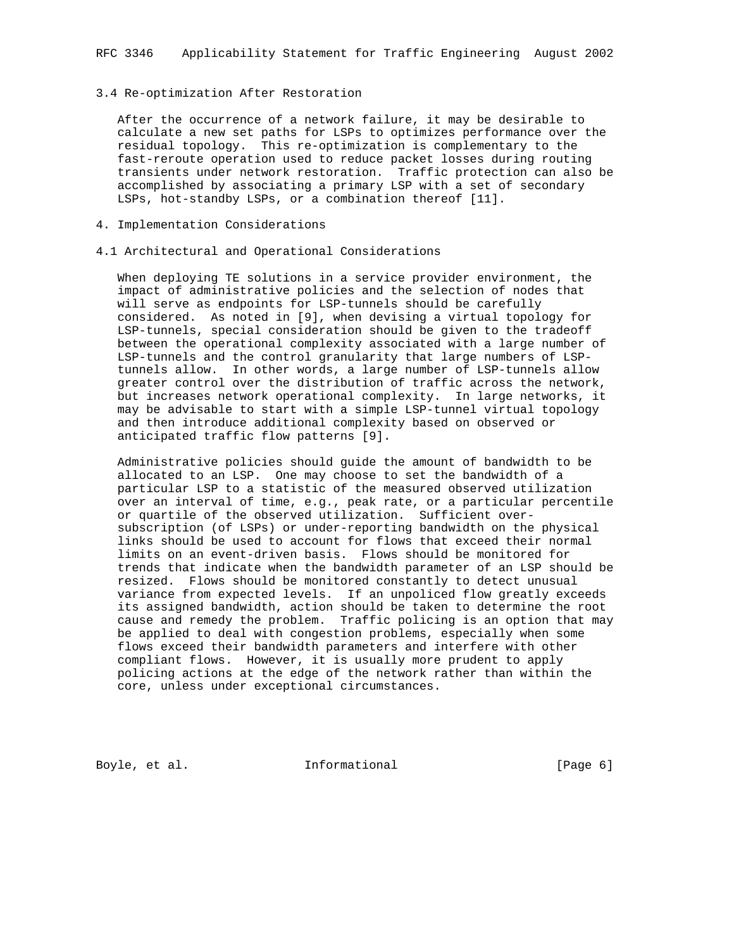#### 3.4 Re-optimization After Restoration

 After the occurrence of a network failure, it may be desirable to calculate a new set paths for LSPs to optimizes performance over the residual topology. This re-optimization is complementary to the fast-reroute operation used to reduce packet losses during routing transients under network restoration. Traffic protection can also be accomplished by associating a primary LSP with a set of secondary LSPs, hot-standby LSPs, or a combination thereof [11].

- 4. Implementation Considerations
- 4.1 Architectural and Operational Considerations

 When deploying TE solutions in a service provider environment, the impact of administrative policies and the selection of nodes that will serve as endpoints for LSP-tunnels should be carefully considered. As noted in [9], when devising a virtual topology for LSP-tunnels, special consideration should be given to the tradeoff between the operational complexity associated with a large number of LSP-tunnels and the control granularity that large numbers of LSP tunnels allow. In other words, a large number of LSP-tunnels allow greater control over the distribution of traffic across the network, but increases network operational complexity. In large networks, it may be advisable to start with a simple LSP-tunnel virtual topology and then introduce additional complexity based on observed or anticipated traffic flow patterns [9].

 Administrative policies should guide the amount of bandwidth to be allocated to an LSP. One may choose to set the bandwidth of a particular LSP to a statistic of the measured observed utilization over an interval of time, e.g., peak rate, or a particular percentile or quartile of the observed utilization. Sufficient over subscription (of LSPs) or under-reporting bandwidth on the physical links should be used to account for flows that exceed their normal limits on an event-driven basis. Flows should be monitored for trends that indicate when the bandwidth parameter of an LSP should be resized. Flows should be monitored constantly to detect unusual variance from expected levels. If an unpoliced flow greatly exceeds its assigned bandwidth, action should be taken to determine the root cause and remedy the problem. Traffic policing is an option that may be applied to deal with congestion problems, especially when some flows exceed their bandwidth parameters and interfere with other compliant flows. However, it is usually more prudent to apply policing actions at the edge of the network rather than within the core, unless under exceptional circumstances.

Boyle, et al. **Informational** [Page 6]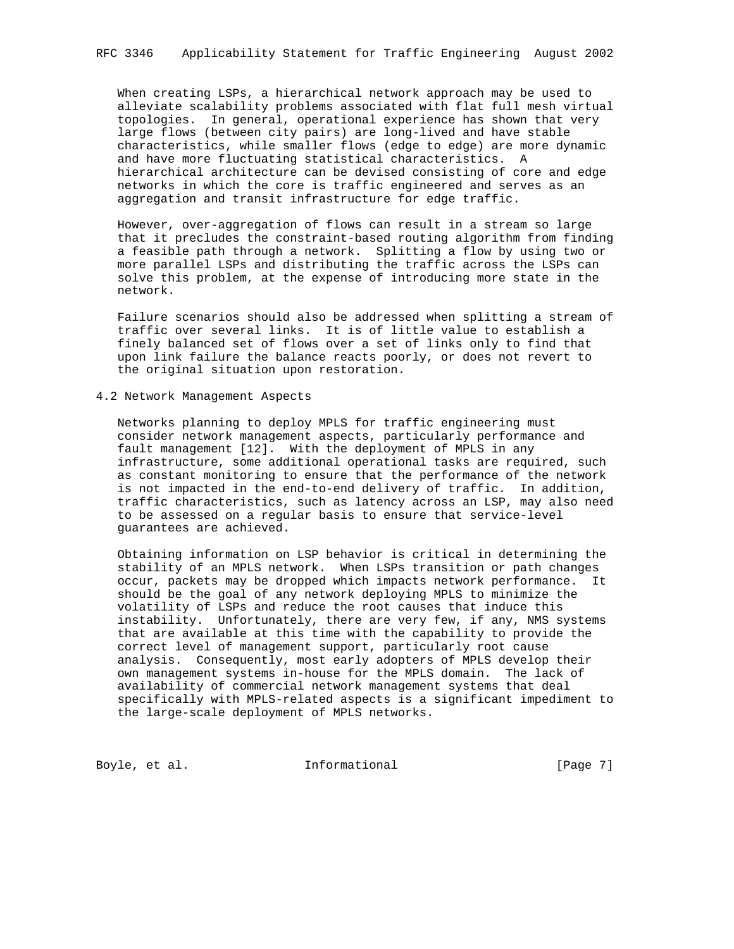When creating LSPs, a hierarchical network approach may be used to alleviate scalability problems associated with flat full mesh virtual topologies. In general, operational experience has shown that very large flows (between city pairs) are long-lived and have stable characteristics, while smaller flows (edge to edge) are more dynamic and have more fluctuating statistical characteristics. A hierarchical architecture can be devised consisting of core and edge networks in which the core is traffic engineered and serves as an aggregation and transit infrastructure for edge traffic.

 However, over-aggregation of flows can result in a stream so large that it precludes the constraint-based routing algorithm from finding a feasible path through a network. Splitting a flow by using two or more parallel LSPs and distributing the traffic across the LSPs can solve this problem, at the expense of introducing more state in the network.

 Failure scenarios should also be addressed when splitting a stream of traffic over several links. It is of little value to establish a finely balanced set of flows over a set of links only to find that upon link failure the balance reacts poorly, or does not revert to the original situation upon restoration.

#### 4.2 Network Management Aspects

 Networks planning to deploy MPLS for traffic engineering must consider network management aspects, particularly performance and fault management [12]. With the deployment of MPLS in any infrastructure, some additional operational tasks are required, such as constant monitoring to ensure that the performance of the network is not impacted in the end-to-end delivery of traffic. In addition, traffic characteristics, such as latency across an LSP, may also need to be assessed on a regular basis to ensure that service-level guarantees are achieved.

 Obtaining information on LSP behavior is critical in determining the stability of an MPLS network. When LSPs transition or path changes occur, packets may be dropped which impacts network performance. It should be the goal of any network deploying MPLS to minimize the volatility of LSPs and reduce the root causes that induce this instability. Unfortunately, there are very few, if any, NMS systems that are available at this time with the capability to provide the correct level of management support, particularly root cause analysis. Consequently, most early adopters of MPLS develop their own management systems in-house for the MPLS domain. The lack of availability of commercial network management systems that deal specifically with MPLS-related aspects is a significant impediment to the large-scale deployment of MPLS networks.

Boyle, et al. 1nformational 1999 [Page 7]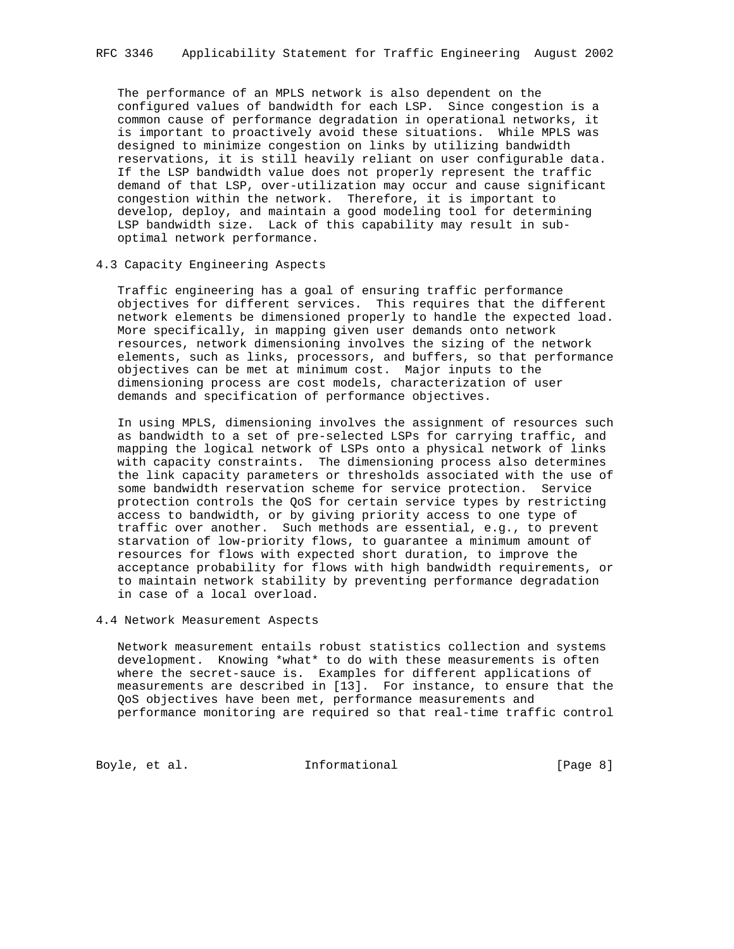The performance of an MPLS network is also dependent on the configured values of bandwidth for each LSP. Since congestion is a common cause of performance degradation in operational networks, it is important to proactively avoid these situations. While MPLS was designed to minimize congestion on links by utilizing bandwidth reservations, it is still heavily reliant on user configurable data. If the LSP bandwidth value does not properly represent the traffic demand of that LSP, over-utilization may occur and cause significant congestion within the network. Therefore, it is important to develop, deploy, and maintain a good modeling tool for determining LSP bandwidth size. Lack of this capability may result in sub optimal network performance.

### 4.3 Capacity Engineering Aspects

 Traffic engineering has a goal of ensuring traffic performance objectives for different services. This requires that the different network elements be dimensioned properly to handle the expected load. More specifically, in mapping given user demands onto network resources, network dimensioning involves the sizing of the network elements, such as links, processors, and buffers, so that performance objectives can be met at minimum cost. Major inputs to the dimensioning process are cost models, characterization of user demands and specification of performance objectives.

 In using MPLS, dimensioning involves the assignment of resources such as bandwidth to a set of pre-selected LSPs for carrying traffic, and mapping the logical network of LSPs onto a physical network of links with capacity constraints. The dimensioning process also determines the link capacity parameters or thresholds associated with the use of some bandwidth reservation scheme for service protection. Service protection controls the QoS for certain service types by restricting access to bandwidth, or by giving priority access to one type of traffic over another. Such methods are essential, e.g., to prevent starvation of low-priority flows, to guarantee a minimum amount of resources for flows with expected short duration, to improve the acceptance probability for flows with high bandwidth requirements, or to maintain network stability by preventing performance degradation in case of a local overload.

4.4 Network Measurement Aspects

 Network measurement entails robust statistics collection and systems development. Knowing \*what\* to do with these measurements is often where the secret-sauce is. Examples for different applications of measurements are described in [13]. For instance, to ensure that the QoS objectives have been met, performance measurements and performance monitoring are required so that real-time traffic control

Boyle, et al. 10 Informational 100 [Page 8]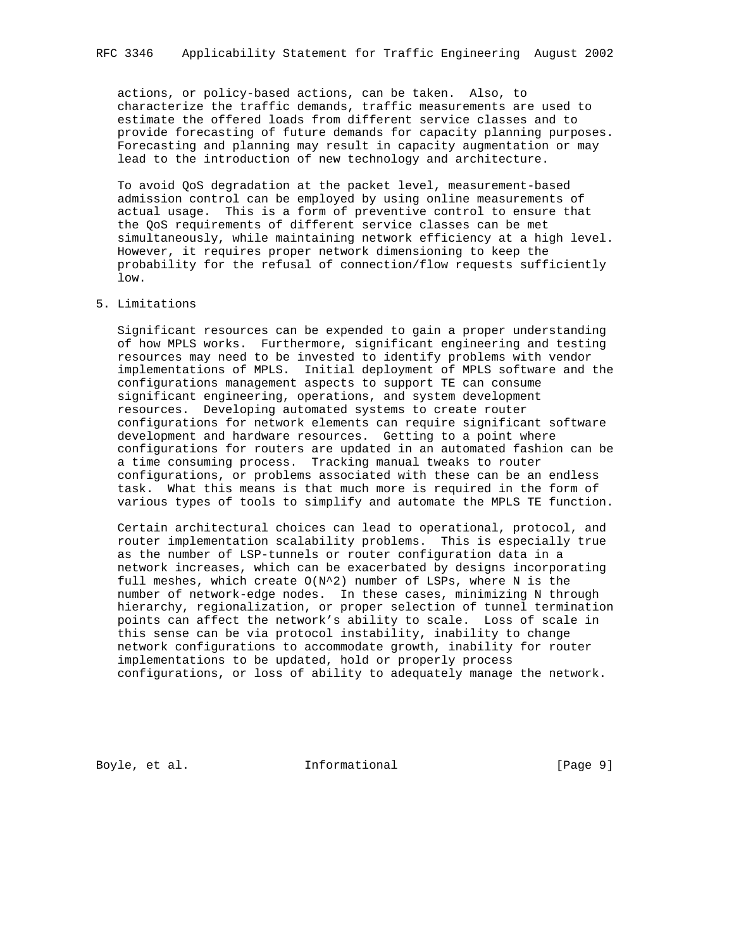actions, or policy-based actions, can be taken. Also, to characterize the traffic demands, traffic measurements are used to estimate the offered loads from different service classes and to provide forecasting of future demands for capacity planning purposes. Forecasting and planning may result in capacity augmentation or may lead to the introduction of new technology and architecture.

 To avoid QoS degradation at the packet level, measurement-based admission control can be employed by using online measurements of actual usage. This is a form of preventive control to ensure that the QoS requirements of different service classes can be met simultaneously, while maintaining network efficiency at a high level. However, it requires proper network dimensioning to keep the probability for the refusal of connection/flow requests sufficiently low.

### 5. Limitations

 Significant resources can be expended to gain a proper understanding of how MPLS works. Furthermore, significant engineering and testing resources may need to be invested to identify problems with vendor implementations of MPLS. Initial deployment of MPLS software and the configurations management aspects to support TE can consume significant engineering, operations, and system development resources. Developing automated systems to create router configurations for network elements can require significant software development and hardware resources. Getting to a point where configurations for routers are updated in an automated fashion can be a time consuming process. Tracking manual tweaks to router configurations, or problems associated with these can be an endless task. What this means is that much more is required in the form of various types of tools to simplify and automate the MPLS TE function.

 Certain architectural choices can lead to operational, protocol, and router implementation scalability problems. This is especially true as the number of LSP-tunnels or router configuration data in a network increases, which can be exacerbated by designs incorporating full meshes, which create  $O(N^2)$  number of LSPs, where N is the number of network-edge nodes. In these cases, minimizing N through hierarchy, regionalization, or proper selection of tunnel termination points can affect the network's ability to scale. Loss of scale in this sense can be via protocol instability, inability to change network configurations to accommodate growth, inability for router implementations to be updated, hold or properly process configurations, or loss of ability to adequately manage the network.

Boyle, et al. 1nformational 1999 [Page 9]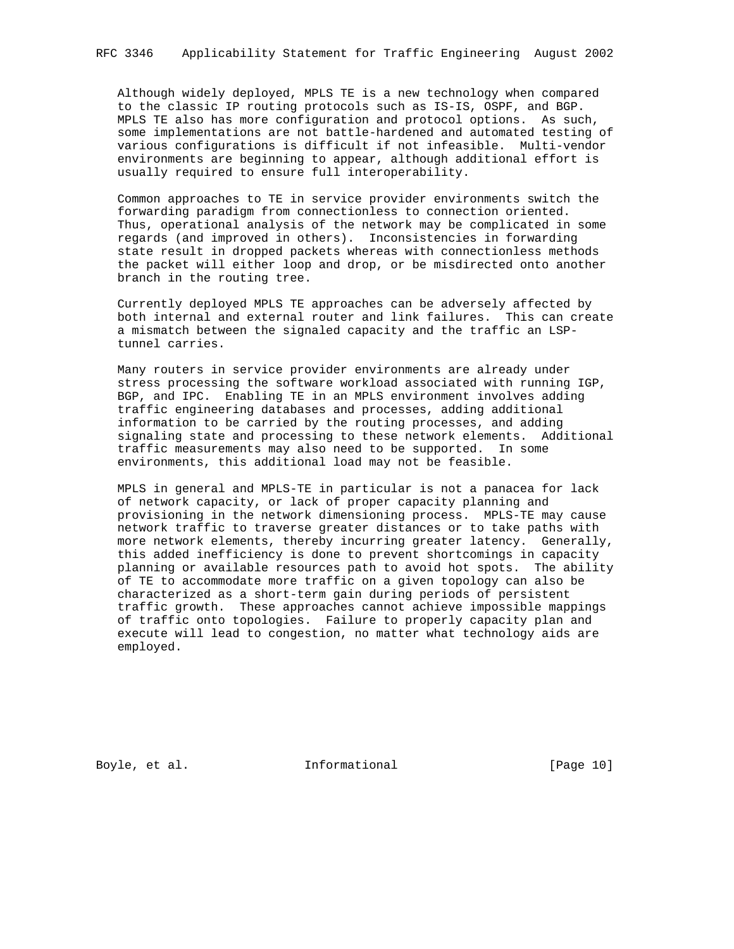Although widely deployed, MPLS TE is a new technology when compared to the classic IP routing protocols such as IS-IS, OSPF, and BGP. MPLS TE also has more configuration and protocol options. As such, some implementations are not battle-hardened and automated testing of various configurations is difficult if not infeasible. Multi-vendor environments are beginning to appear, although additional effort is usually required to ensure full interoperability.

 Common approaches to TE in service provider environments switch the forwarding paradigm from connectionless to connection oriented. Thus, operational analysis of the network may be complicated in some regards (and improved in others). Inconsistencies in forwarding state result in dropped packets whereas with connectionless methods the packet will either loop and drop, or be misdirected onto another branch in the routing tree.

 Currently deployed MPLS TE approaches can be adversely affected by both internal and external router and link failures. This can create a mismatch between the signaled capacity and the traffic an LSP tunnel carries.

 Many routers in service provider environments are already under stress processing the software workload associated with running IGP, BGP, and IPC. Enabling TE in an MPLS environment involves adding traffic engineering databases and processes, adding additional information to be carried by the routing processes, and adding signaling state and processing to these network elements. Additional traffic measurements may also need to be supported. In some environments, this additional load may not be feasible.

 MPLS in general and MPLS-TE in particular is not a panacea for lack of network capacity, or lack of proper capacity planning and provisioning in the network dimensioning process. MPLS-TE may cause network traffic to traverse greater distances or to take paths with more network elements, thereby incurring greater latency. Generally, this added inefficiency is done to prevent shortcomings in capacity planning or available resources path to avoid hot spots. The ability of TE to accommodate more traffic on a given topology can also be characterized as a short-term gain during periods of persistent traffic growth. These approaches cannot achieve impossible mappings of traffic onto topologies. Failure to properly capacity plan and execute will lead to congestion, no matter what technology aids are employed.

Boyle, et al. 10 Informational 10 [Page 10]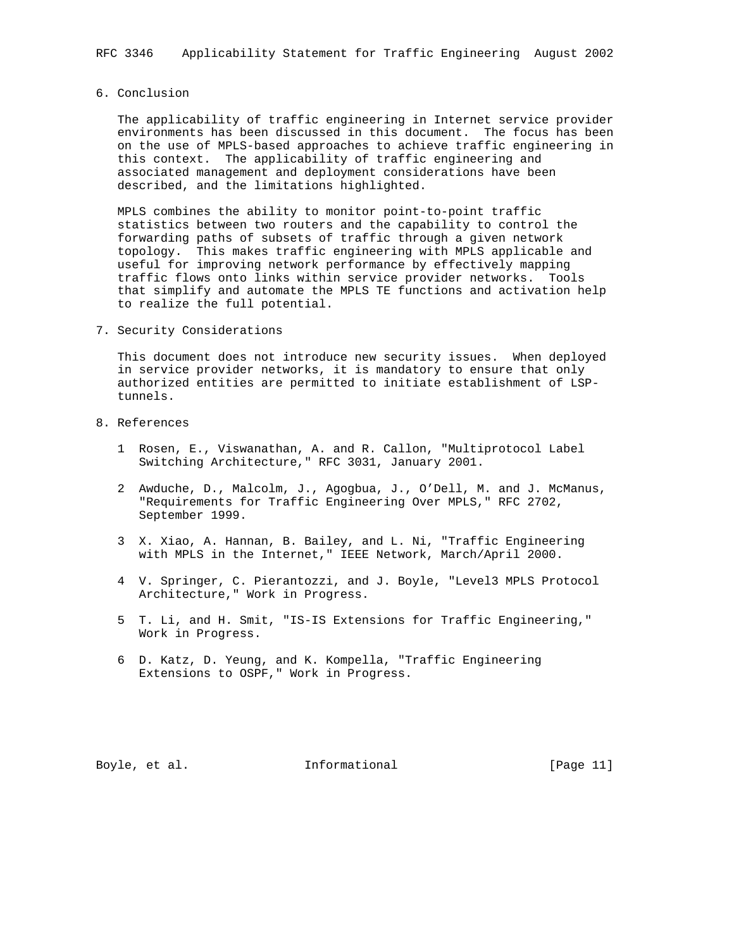## 6. Conclusion

 The applicability of traffic engineering in Internet service provider environments has been discussed in this document. The focus has been on the use of MPLS-based approaches to achieve traffic engineering in this context. The applicability of traffic engineering and associated management and deployment considerations have been described, and the limitations highlighted.

 MPLS combines the ability to monitor point-to-point traffic statistics between two routers and the capability to control the forwarding paths of subsets of traffic through a given network topology. This makes traffic engineering with MPLS applicable and useful for improving network performance by effectively mapping traffic flows onto links within service provider networks. Tools that simplify and automate the MPLS TE functions and activation help to realize the full potential.

7. Security Considerations

 This document does not introduce new security issues. When deployed in service provider networks, it is mandatory to ensure that only authorized entities are permitted to initiate establishment of LSP tunnels.

- 8. References
	- 1 Rosen, E., Viswanathan, A. and R. Callon, "Multiprotocol Label Switching Architecture," RFC 3031, January 2001.
	- 2 Awduche, D., Malcolm, J., Agogbua, J., O'Dell, M. and J. McManus, "Requirements for Traffic Engineering Over MPLS," RFC 2702, September 1999.
	- 3 X. Xiao, A. Hannan, B. Bailey, and L. Ni, "Traffic Engineering with MPLS in the Internet," IEEE Network, March/April 2000.
	- 4 V. Springer, C. Pierantozzi, and J. Boyle, "Level3 MPLS Protocol Architecture," Work in Progress.
	- 5 T. Li, and H. Smit, "IS-IS Extensions for Traffic Engineering," Work in Progress.
	- 6 D. Katz, D. Yeung, and K. Kompella, "Traffic Engineering Extensions to OSPF," Work in Progress.

Boyle, et al. 10. Informational 1. [Page 11]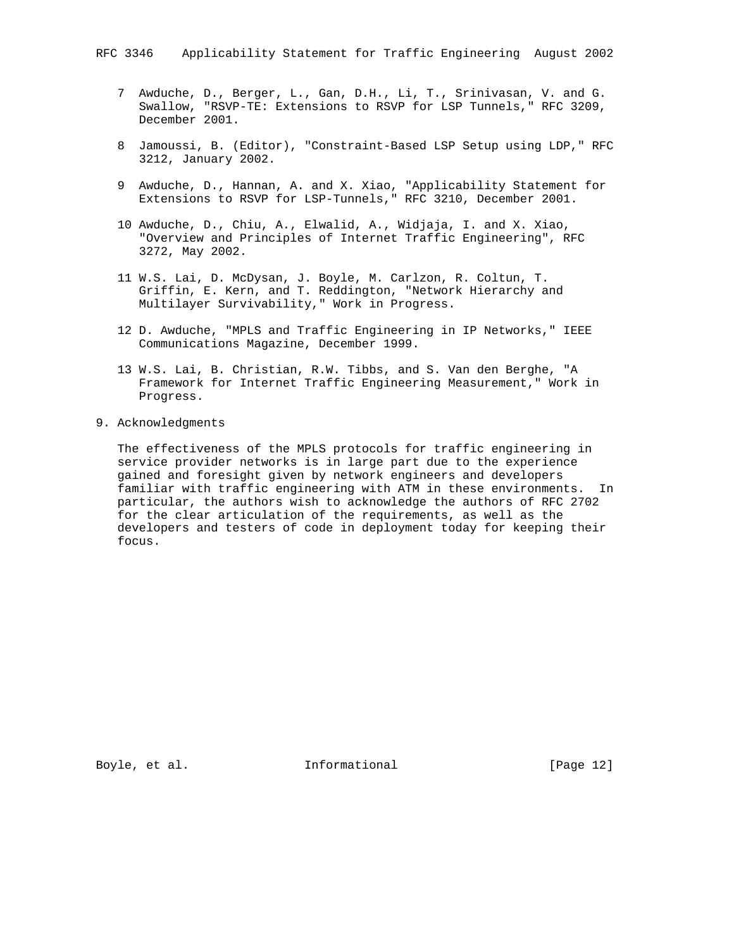- 7 Awduche, D., Berger, L., Gan, D.H., Li, T., Srinivasan, V. and G. Swallow, "RSVP-TE: Extensions to RSVP for LSP Tunnels," RFC 3209, December 2001.
- 8 Jamoussi, B. (Editor), "Constraint-Based LSP Setup using LDP," RFC 3212, January 2002.
- 9 Awduche, D., Hannan, A. and X. Xiao, "Applicability Statement for Extensions to RSVP for LSP-Tunnels," RFC 3210, December 2001.
- 10 Awduche, D., Chiu, A., Elwalid, A., Widjaja, I. and X. Xiao, "Overview and Principles of Internet Traffic Engineering", RFC 3272, May 2002.
- 11 W.S. Lai, D. McDysan, J. Boyle, M. Carlzon, R. Coltun, T. Griffin, E. Kern, and T. Reddington, "Network Hierarchy and Multilayer Survivability," Work in Progress.
- 12 D. Awduche, "MPLS and Traffic Engineering in IP Networks," IEEE Communications Magazine, December 1999.
- 13 W.S. Lai, B. Christian, R.W. Tibbs, and S. Van den Berghe, "A Framework for Internet Traffic Engineering Measurement," Work in Progress.
- 9. Acknowledgments

 The effectiveness of the MPLS protocols for traffic engineering in service provider networks is in large part due to the experience gained and foresight given by network engineers and developers familiar with traffic engineering with ATM in these environments. In particular, the authors wish to acknowledge the authors of RFC 2702 for the clear articulation of the requirements, as well as the developers and testers of code in deployment today for keeping their focus.

Boyle, et al. 10 Informational 1999 [Page 12]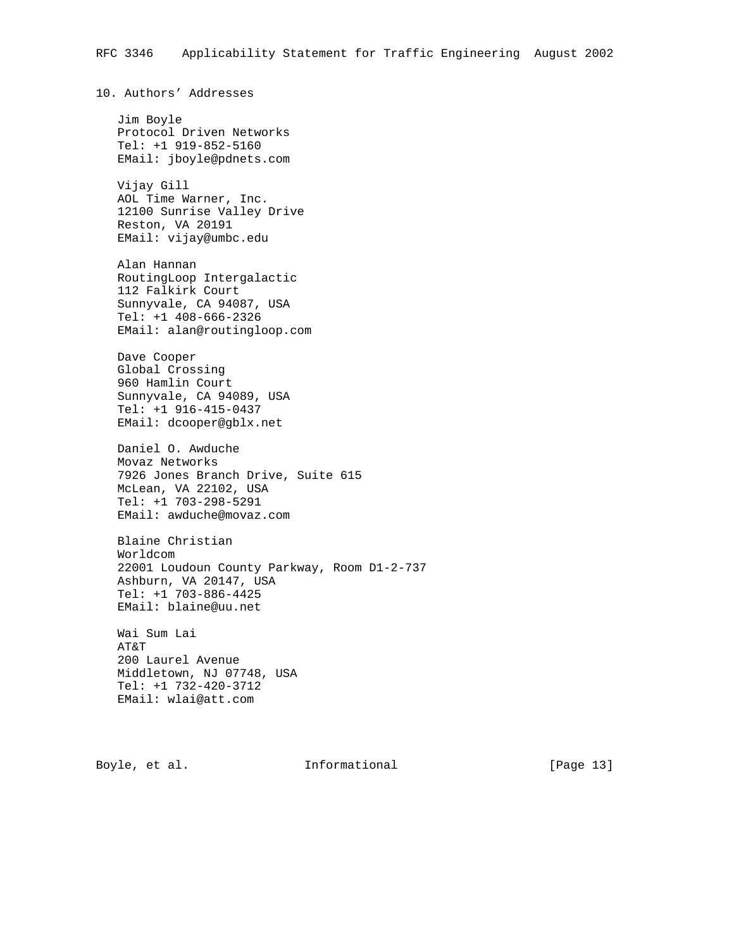10. Authors' Addresses Jim Boyle Protocol Driven Networks Tel: +1 919-852-5160 EMail: jboyle@pdnets.com Vijay Gill AOL Time Warner, Inc. 12100 Sunrise Valley Drive Reston, VA 20191 EMail: vijay@umbc.edu Alan Hannan RoutingLoop Intergalactic 112 Falkirk Court Sunnyvale, CA 94087, USA Tel: +1 408-666-2326 EMail: alan@routingloop.com Dave Cooper Global Crossing 960 Hamlin Court Sunnyvale, CA 94089, USA Tel: +1 916-415-0437 EMail: dcooper@gblx.net Daniel O. Awduche Movaz Networks 7926 Jones Branch Drive, Suite 615 McLean, VA 22102, USA Tel: +1 703-298-5291 EMail: awduche@movaz.com Blaine Christian Worldcom 22001 Loudoun County Parkway, Room D1-2-737 Ashburn, VA 20147, USA Tel: +1 703-886-4425 EMail: blaine@uu.net Wai Sum Lai AT&T 200 Laurel Avenue Middletown, NJ 07748, USA Tel: +1 732-420-3712 EMail: wlai@att.com

Boyle, et al. **Informational** [Page 13]